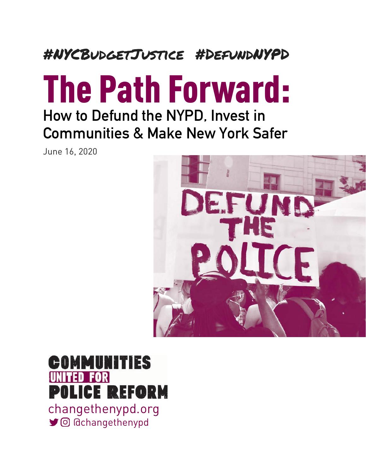# #NYCBudgetJustice #DefundNYPD

# The Path Forward: How to Defund the NYPD, Invest in

Communities & Make New York Safer

June 16, 2020



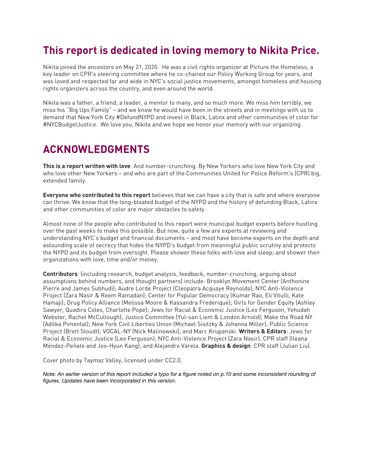### **This report is dedicated in loving memory to Nikita Price.**

Nikita joined the ancestors on May 21, 2020. He was a civil rights organizer at Picture the Homeless, a key leader on CPR's steering committee where he co-chaired our Policy Working Group for years, and was loved and respected far and wide in NYC's social justice movements, amongst homeless and housing rights organizers across the country, and even around the world.

Nikita was a father, a friend, a leader, a mentor to many, and so much more. We miss him terribly, we miss his "Big Ups Family" – and we know he would have been in the streets and in meetings with us to demand that New York City #DefundNYPD and invest in Black, Latinx and other communities of color for #NYCBudgetJustice. We love you, Nikita and we hope we honor your memory with our organizing.

### **ACKNOWLEDGMENTS**

**This is a report written with love**. And number-crunching. By New Yorkers who love New York City and who love other New Yorkers – and who are part of the Communities United for Police Reform's (CPR) big, extended family.

**Everyone who contributed to this report** believes that we can have a city that is safe and where everyone can thrive. We know that the long-bloated budget of the NYPD and the history of defunding Black, Latinx and other communities of color are major obstacles to safety.

Almost none of the people who contributed to this report were municipal budget experts before hustling over the past weeks to make this possible. But now, quite a few are experts at reviewing and understanding NYC's budget and financial documents – and most have become experts on the depth and astounding scale of secrecy that hides the NYPD's budget from meaningful public scrutiny and protects the NYPD and its budget from oversight. Please shower these folks with love and sleep; and shower their organizations with love, time and/or money.

**Contributors** (including research, budget analysis, feedback, number-crunching, arguing about assumptions behind numbers, and thought partners) include: Brooklyn Movement Center (Anthonine Pierre and James Subhudi); Audre Lorde Project (Cleopatra Acquaye Reynolds); NYC Anti-Violence Project (Zara Nasir & Reem Ramadan); Center for Popular Democracy (Kumar Rao, Eli Vitulli, Kate Hamaji); Drug Policy Alliance (Melissa Moore & Kassandra Frederique); Girls for Gender Equity (Ashley Sawyer, Quadira Coles, Charlotte Pope); Jews for Racial & Economic Justice (Leo Ferguson, Yehudah Webster, Rachel McCullough); Justice Committee (Yul-san Liem & London Arnold); Make the Road NY (Adilka Pimental); New York Civil Liberties Union (Michael Sisitzky & Johanna Miller); Public Science Project (Brett Stoudt); VOCAL-NY (Nick Malinowski); and Marc Krupanski. **Writers & Editors**: Jews for Racial & Economic Justice (Leo Ferguson); NYC Anti-Violence Project (Zara Nasir); CPR staff (Ileana Méndez-Peñate and Joo-Hyun Kang); and Alejandro Varela. **Graphics & design**: CPR staff (Julian Liu).

Cover photo by Taymaz Valley, licensed under CC2.0.

*Note: An earlier version of this report included a typo for a figure noted on p.10 and some inconsistent rounding of figures. Updates have been incorporated in this version.*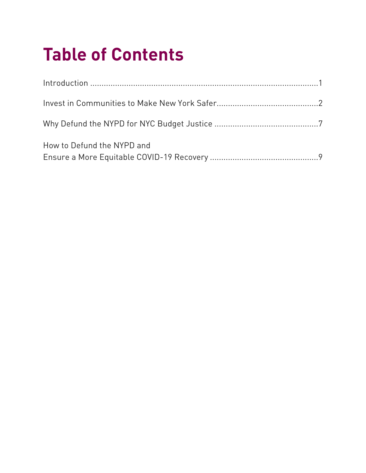# **Table of Contents**

| How to Defund the NYPD and |
|----------------------------|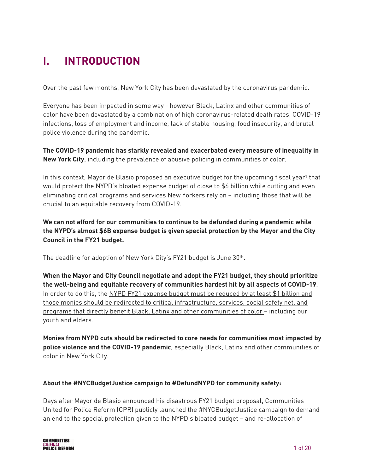## **I. INTRODUCTION**

Over the past few months, New York City has been devastated by the coronavirus pandemic.

Everyone has been impacted in some way - however Black, Latinx and other communities of color have been devastated by a combination of high coronavirus-related death rates, COVID-19 infections, loss of employment and income, lack of stable housing, food insecurity, and brutal police violence during the pandemic.

**The COVID-19 pandemic has starkly revealed and exacerbated every measure of inequality in New York City**, including the prevalence of abusive policing in communities of color.

<span id="page-3-0"></span>In this context, Mayor de Blasio proposed an executive budget for the upcoming fiscal year<sup>[1](#page-21-0)</sup> that would protect the NYPD's bloated expense budget of close to \$6 billion while cutting and even eliminating critical programs and services New Yorkers rely on – including those that will be crucial to an equitable recovery from COVID-19.

**We can not afford for our communities to continue to be defunded during a pandemic while the NYPD's almost \$6B expense budget is given special protection by the Mayor and the City Council in the FY21 budget.** 

The deadline for adoption of New York City's FY21 budget is June 30th.

**When the Mayor and City Council negotiate and adopt the FY21 budget, they should prioritize the well-being and equitable recovery of communities hardest hit by all aspects of COVID-19**. In order to do this, the NYPD FY21 expense budget must be reduced by at least \$1 billion and those monies should be redirected to critical infrastructure, services, social safety net, and programs that directly benefit Black, Latinx and other communities of color – including our youth and elders.

**Monies from NYPD cuts should be redirected to core needs for communities most impacted by police violence and the COVID-19 pandemic**, especially Black, Latinx and other communities of color in New York City.

#### **About the #NYCBudgetJustice campaign to #DefundNYPD for community safety:**

Days after Mayor de Blasio announced his disastrous FY21 budget proposal, Communities United for Police Reform (CPR) publicly launched the #NYCBudgetJustice campaign to demand an end to the special protection given to the NYPD's bloated budget – and re-allocation of

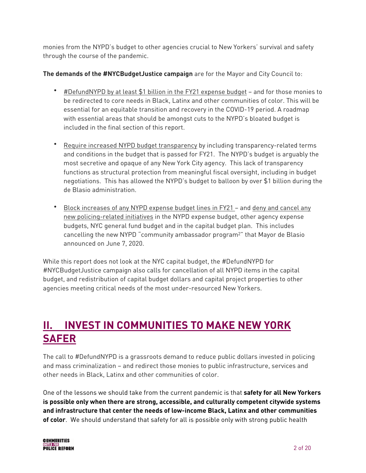monies from the NYPD's budget to other agencies crucial to New Yorkers' survival and safety through the course of the pandemic.

#### **The demands of the #NYCBudgetJustice campaign** are for the Mayor and City Council to:

- #DefundNYPD by at least \$1 billion in the FY21 expense budget and for those monies to be redirected to core needs in Black, Latinx and other communities of color. This will be essential for an equitable transition and recovery in the COVID-19 period. A roadmap with essential areas that should be amongst cuts to the NYPD's bloated budget is included in the final section of this report.
- Require increased NYPD budget transparency by including transparency-related terms and conditions in the budget that is passed for FY21. The NYPD's budget is arguably the most secretive and opaque of any New York City agency. This lack of transparency functions as structural protection from meaningful fiscal oversight, including in budget negotiations. This has allowed the NYPD's budget to balloon by over \$1 billion during the de Blasio administration.
- <span id="page-4-0"></span>• Block increases of any NYPD expense budget lines in FY21 – and deny and cancel any new policing-related initiatives in the NYPD expense budget, other agency expense budgets, NYC general fund budget and in the capital budget plan. This includes cancelling the new NYPD "community ambassador program<sup>[2](#page-21-1)"</sup> that Mayor de Blasio announced on June 7, 2020.

While this report does not look at the NYC capital budget, the #DefundNYPD for #NYCBudgetJustice campaign also calls for cancellation of all NYPD items in the capital budget, and redistribution of capital budget dollars and capital project properties to other agencies meeting critical needs of the most under-resourced New Yorkers.

## **II. INVEST IN COMMUNITIES TO MAKE NEW YORK SAFER**

The call to #DefundNYPD is a grassroots demand to reduce public dollars invested in policing and mass criminalization – and redirect those monies to public infrastructure, services and other needs in Black, Latinx and other communities of color.

One of the lessons we should take from the current pandemic is that **safety for all New Yorkers is possible only when there are strong, accessible, and culturally competent citywide systems and infrastructure that center the needs of low-income Black, Latinx and other communities of color**. We should understand that safety for all is possible only with strong public health

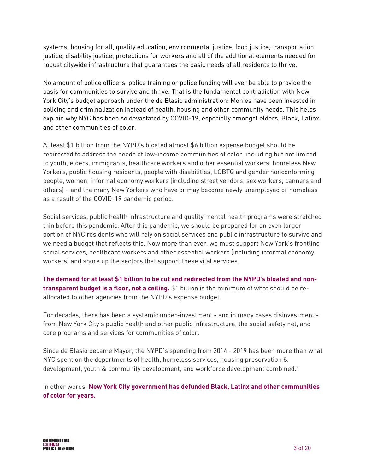systems, housing for all, quality education, environmental justice, food justice, transportation justice, disability justice, protections for workers and all of the additional elements needed for robust citywide infrastructure that guarantees the basic needs of all residents to thrive.

No amount of police officers, police training or police funding will ever be able to provide the basis for communities to survive and thrive. That is the fundamental contradiction with New York City's budget approach under the de Blasio administration: Monies have been invested in policing and criminalization instead of health, housing and other community needs. This helps explain why NYC has been so devastated by COVID-19, especially amongst elders, Black, Latinx and other communities of color.

At least \$1 billion from the NYPD's bloated almost \$6 billion expense budget should be redirected to address the needs of low-income communities of color, including but not limited to youth, elders, immigrants, healthcare workers and other essential workers, homeless New Yorkers, public housing residents, people with disabilities, LGBTQ and gender nonconforming people, women, informal economy workers (including street vendors, sex workers, canners and others) – and the many New Yorkers who have or may become newly unemployed or homeless as a result of the COVID-19 pandemic period.

Social services, public health infrastructure and quality mental health programs were stretched thin before this pandemic. After this pandemic, we should be prepared for an even larger portion of NYC residents who will rely on social services and public infrastructure to survive and we need a budget that reflects this. Now more than ever, we must support New York's frontline social services, healthcare workers and other essential workers (including informal economy workers) and shore up the sectors that support these vital services.

**The demand for at least \$1 billion to be cut and redirected from the NYPD's bloated and nontransparent budget is a floor, not a ceiling.** \$1 billion is the minimum of what should be reallocated to other agencies from the NYPD's expense budget.

For decades, there has been a systemic under-investment - and in many cases disinvestment from New York City's public health and other public infrastructure, the social safety net, and core programs and services for communities of color.

<span id="page-5-0"></span>Since de Blasio became Mayor, the NYPD's spending from 2014 - 2019 has been more than what NYC spent on the departments of health, homeless services, housing preservation & development, youth & community development, and workforce development combined. [3](#page-21-2)

In other words, **New York City government has defunded Black, Latinx and other communities of color for years.**

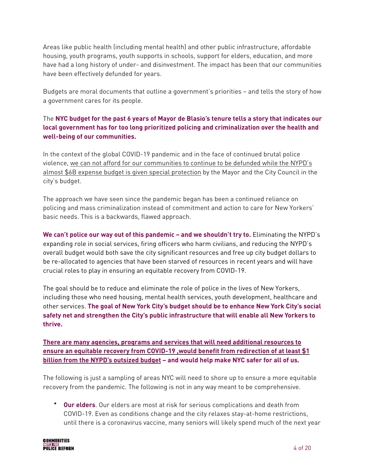Areas like public health (including mental health) and other public infrastructure, affordable housing, youth programs, youth supports in schools, support for elders, education, and more have had a long history of under- and disinvestment. The impact has been that our communities have been effectively defunded for years.

Budgets are moral documents that outline a government's priorities – and tells the story of how a government cares for its people.

#### The **NYC budget for the past 6 years of Mayor de Blasio's tenure tells a story that indicates our local government has for too long prioritized policing and criminalization over the health and well-being of our communities.**

In the context of the global COVID-19 pandemic and in the face of continued brutal police violence, we can not afford for our communities to continue to be defunded while the NYPD's almost \$6B expense budget is given special protection by the Mayor and the City Council in the city's budget.

The approach we have seen since the pandemic began has been a continued reliance on policing and mass criminalization instead of commitment and action to care for New Yorkers' basic needs. This is a backwards, flawed approach.

**We can't police our way out of this pandemic – and we shouldn't try to.** Eliminating the NYPD's expanding role in social services, firing officers who harm civilians, and reducing the NYPD's overall budget would both save the city significant resources and free up city budget dollars to be re-allocated to agencies that have been starved of resources in recent years and will have crucial roles to play in ensuring an equitable recovery from COVID-19.

The goal should be to reduce and eliminate the role of police in the lives of New Yorkers, including those who need housing, mental health services, youth development, healthcare and other services. **The goal of New York City's budget should be to enhance New York City's social safety net and strengthen the City's public infrastructure that will enable all New Yorkers to thrive.** 

**There are many agencies, programs and services that will need additional resources to ensure an equitable recovery from COVID-19 ,would benefit from redirection of at least \$1 billion from the NYPD's outsized budget – and would help make NYC safer for all of us.**

The following is just a sampling of areas NYC will need to shore up to ensure a more equitable recovery from the pandemic. The following is not in any way meant to be comprehensive.

• **Our elders**. Our elders are most at risk for serious complications and death from COVID-19. Even as conditions change and the city relaxes stay-at-home restrictions, until there is a coronavirus vaccine, many seniors will likely spend much of the next year

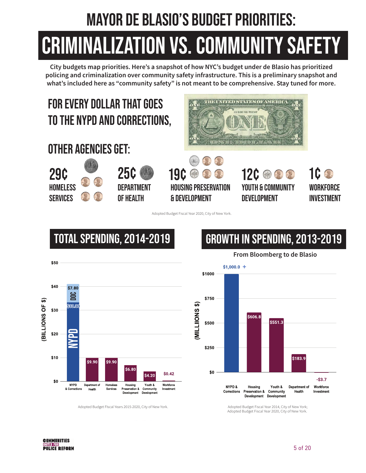# MAyor De Blasio's budget priorities:

# CRIMINALIZATION VS. COMMUNITY SAFETY

City budgets map priorities. Here's a snapshot of how NYC's budget under de Blasio has prioritized policing and criminalization over community safety infrastructure. This is a preliminary snapshot and what's included here as "community safety" is not meant to be comprehensive. Stay tuned for more.

# For every dollar that goes to THE NYPD and Corrections,









**DEPARTMENT** 



YOUTH & COMMUNITY **DEVELOPMENT** 12**C @ 2 2**  **WORKFORCE** investment 1¢

Adopted Budget Fiscal Year 2020, City of New York.



Adopted Budget Fiscal Years 2015-2020, City of New York

# TOTAL SPENDING, 2014-2019 GROWTH IN SPENDING, 2013-2019

 $$1,000.0 +$ \$1000 \$750 **MILLIIONS \$)** \$606.8 \$551.3 \$500 \$250 \$183.9 \$0 -\$3.7 NYPD& Workforce Housing Youth & Department of Preservation & Community Corrections Health Investment Development Development

From Bloomberg to de Blasio

Adopted Budget Fiscal Year 2014, City of New York; Adopted Budget Fiscal Year 2020, City of New York.

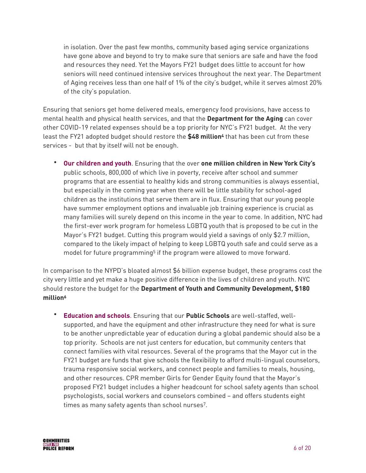in isolation. Over the past few months, community based aging service organizations have gone above and beyond to try to make sure that seniors are safe and have the food and resources they need. Yet the Mayors FY21 budget does little to account for how seniors will need continued intensive services throughout the next year. The Department of Aging receives less than one half of 1% of the city's budget, while it serves almost 20% of the city's population.

Ensuring that seniors get home delivered meals, emergency food provisions, have access to mental health and physical health services, and that the **Department for the Aging** can cover other COVID-19 related expenses should be a top priority for NYC's FY21 budget. At the very least the FY21 adopted budget should restore the **\$[4](#page-21-3)8 million**<sup>4</sup> that has been cut from these services - but that by itself will not be enough.

<span id="page-8-0"></span>• **Our children and youth**. Ensuring that the over **one million children in New York City's**  public schools, 800,000 of which live in poverty, receive after school and summer programs that are essential to healthy kids and strong communities is always essential, but especially in the coming year when there will be little stability for school-aged children as the institutions that serve them are in flux. Ensuring that our young people have summer employment options and invaluable job training experience is crucial as many families will surely depend on this income in the year to come. In addition, NYC had the first-ever work program for homeless LGBTQ youth that is proposed to be cut in the Mayor's FY21 budget. Cutting this program would yield a savings of only \$2.7 million, compared to the likely impact of helping to keep LGBTQ youth safe and could serve as a model for future pro[g](#page-21-4)ramming<sup>[5](#page-21-4)</sup> if the program were allowed to move forward.

<span id="page-8-1"></span>In comparison to the NYPD's bloated almost \$6 billion expense budget, these programs cost the city very little and yet make a huge positive difference in the lives of children and youth. NYC should restore the budget for the **Department of Youth and Community Development, \$180 millio[n6](#page-21-5)**

<span id="page-8-2"></span>• **Education and schools**. Ensuring that our **Public Schools** are well-staffed, wellsupported, and have the equipment and other infrastructure they need for what is sure to be another unpredictable year of education during a global pandemic should also be a top priority. Schools are not just centers for education, but community centers that connect families with vital resources. Several of the programs that the Mayor cut in the FY21 budget are funds that give schools the flexibility to afford multi-lingual counselors, trauma responsive social workers, and connect people and families to meals, housing, and other resources. CPR member Girls for Gender Equity found that the Mayor's proposed FY21 budget includes a higher headcount for school safety agents than school psychologists, social workers and counselors combined – and offers students eight times as many safety agents than school nurses<sup>[7](#page-21-6)</sup>.

<span id="page-8-3"></span>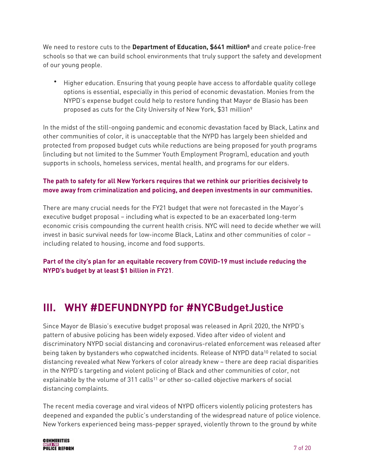We need to restore cuts to the **Department of Education, \$641 million<sup>[8](#page-21-7)</sup>** and create police-free schools so that we can build school environments that truly support the safety and development of our young people.

<span id="page-9-1"></span><span id="page-9-0"></span>• Higher education. Ensuring that young people have access to affordable quality college options is essential, especially in this period of economic devastation. Monies from the NYPD's expense budget could help to restore funding that Mayor de Blasio has been proposed as cuts for the City University of New York, \$31 million<sup>[9](#page-21-8)</sup>

In the midst of the still-ongoing pandemic and economic devastation faced by Black, Latinx and other communities of color, it is unacceptable that the NYPD has largely been shielded and protected from proposed budget cuts while reductions are being proposed for youth programs (including but not limited to the Summer Youth Employment Program), education and youth supports in schools, homeless services, mental health, and programs for our elders.

#### **The path to safety for all New Yorkers requires that we rethink our priorities decisively to move away from criminalization and policing, and deepen investments in our communities.**

There are many crucial needs for the FY21 budget that were not forecasted in the Mayor's executive budget proposal – including what is expected to be an exacerbated long-term economic crisis compounding the current health crisis. NYC will need to decide whether we will invest in basic survival needs for low-income Black, Latinx and other communities of color – including related to housing, income and food supports.

#### **Part of the city's plan for an equitable recovery from COVID-19 must include reducing the NYPD's budget by at least \$1 billion in FY21**.

## **III. WHY #DEFUNDNYPD for #NYCBudgetJustice**

<span id="page-9-2"></span>Since Mayor de Blasio's executive budget proposal was released in April 2020, the NYPD's pattern of abusive policing has been widely exposed. Video after video of violent and discriminatory NYPD social distancing and coronavirus-related enforcement was released after being taken by bystanders who copwatched incidents. Release of NYPD data<sup>[10](#page-21-9)</sup> related to social distancing revealed what New Yorkers of color already knew – there are deep racial disparities in the NYPD's targeting and violent policing of Black and other communities of color, not explainable by the volume of 311 call[s](#page-21-10)<sup>[11](#page-21-10)</sup> or other so-called objective markers of social distancing complaints.

<span id="page-9-3"></span>The recent media coverage and viral videos of NYPD officers violently policing protesters has deepened and expanded the public's understanding of the widespread nature of police violence. New Yorkers experienced being mass-pepper sprayed, violently thrown to the ground by white

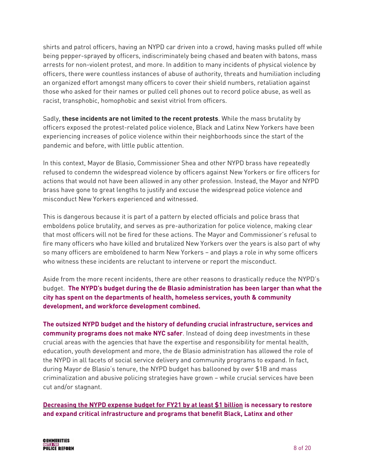shirts and patrol officers, having an NYPD car driven into a crowd, having masks pulled off while being pepper-sprayed by officers, indiscriminately being chased and beaten with batons, mass arrests for non-violent protest, and more. In addition to many incidents of physical violence by officers, there were countless instances of abuse of authority, threats and humiliation including an organized effort amongst many officers to cover their shield numbers, retaliation against those who asked for their names or pulled cell phones out to record police abuse, as well as racist, transphobic, homophobic and sexist vitriol from officers.

Sadly, **these incidents are not limited to the recent protests**. While the mass brutality by officers exposed the protest-related police violence, Black and Latinx New Yorkers have been experiencing increases of police violence within their neighborhoods since the start of the pandemic and before, with little public attention.

In this context, Mayor de Blasio, Commissioner Shea and other NYPD brass have repeatedly refused to condemn the widespread violence by officers against New Yorkers or fire officers for actions that would not have been allowed in any other profession. Instead, the Mayor and NYPD brass have gone to great lengths to justify and excuse the widespread police violence and misconduct New Yorkers experienced and witnessed.

This is dangerous because it is part of a pattern by elected officials and police brass that emboldens police brutality, and serves as pre-authorization for police violence, making clear that most officers will not be fired for these actions. The Mayor and Commissioner's refusal to fire many officers who have killed and brutalized New Yorkers over the years is also part of why so many officers are emboldened to harm New Yorkers – and plays a role in why some officers who witness these incidents are reluctant to intervene or report the misconduct.

Aside from the more recent incidents, there are other reasons to drastically reduce the NYPD's budget. **The NYPD's budget during the de Blasio administration has been larger than what the city has spent on the departments of health, homeless services, youth & community development, and workforce development combined.**

**The outsized NYPD budget and the history of defunding crucial infrastructure, services and community programs does not make NYC safer**. Instead of doing deep investments in these crucial areas with the agencies that have the expertise and responsibility for mental health, education, youth development and more, the de Blasio administration has allowed the role of the NYPD in all facets of social service delivery and community programs to expand. In fact, during Mayor de Blasio's tenure, the NYPD budget has ballooned by over \$1B and mass criminalization and abusive policing strategies have grown – while crucial services have been cut and/or stagnant.

**Decreasing the NYPD expense budget for FY21 by at least \$1 billion is necessary to restore and expand critical infrastructure and programs that benefit Black, Latinx and other** 

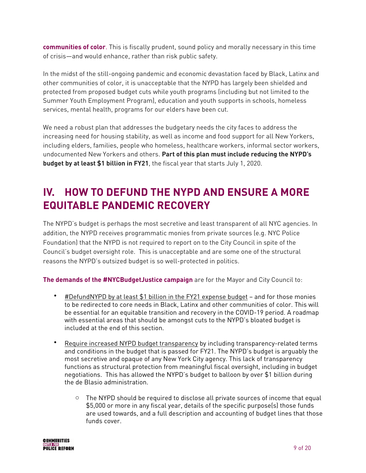**communities of color**. This is fiscally prudent, sound policy and morally necessary in this time of crisis—and would enhance, rather than risk public safety.

In the midst of the still-ongoing pandemic and economic devastation faced by Black, Latinx and other communities of color, it is unacceptable that the NYPD has largely been shielded and protected from proposed budget cuts while youth programs (including but not limited to the Summer Youth Employment Program), education and youth supports in schools, homeless services, mental health, programs for our elders have been cut.

We need a robust plan that addresses the budgetary needs the city faces to address the increasing need for housing stability, as well as income and food support for all New Yorkers, including elders, families, people who homeless, healthcare workers, informal sector workers, undocumented New Yorkers and others. **Part of this plan must include reducing the NYPD's budget by at least \$1 billion in FY21**, the fiscal year that starts July 1, 2020.

## **IV. HOW TO DEFUND THE NYPD AND ENSURE A MORE EQUITABLE PANDEMIC RECOVERY**

The NYPD's budget is perhaps the most secretive and least transparent of all NYC agencies. In addition, the NYPD receives programmatic monies from private sources (e.g. NYC Police Foundation) that the NYPD is not required to report on to the City Council in spite of the Council's budget oversight role. This is unacceptable and are some one of the structural reasons the NYPD's outsized budget is so well-protected in politics.

**The demands of the #NYCBudgetJustice campaign** are for the Mayor and City Council to:

- #DefundNYPD by at least \$1 billion in the FY21 expense budget and for those monies to be redirected to core needs in Black, Latinx and other communities of color. This will be essential for an equitable transition and recovery in the COVID-19 period. A roadmap with essential areas that should be amongst cuts to the NYPD's bloated budget is included at the end of this section.
- Require increased NYPD budget transparency by including transparency-related terms and conditions in the budget that is passed for FY21. The NYPD's budget is arguably the most secretive and opaque of any New York City agency. This lack of transparency functions as structural protection from meaningful fiscal oversight, including in budget negotiations. This has allowed the NYPD's budget to balloon by over \$1 billion during the de Blasio administration.
	- $\circ$  The NYPD should be required to disclose all private sources of income that equal \$5,000 or more in any fiscal year, details of the specific purpose(s) those funds are used towards, and a full description and accounting of budget lines that those funds cover.

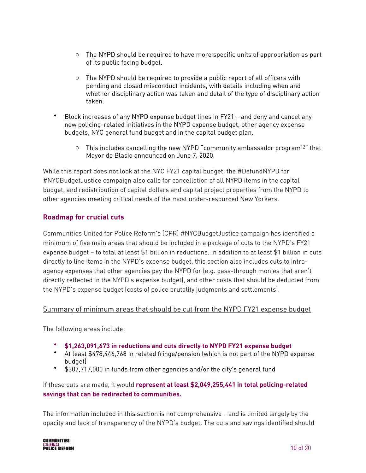- $\circ$  The NYPD should be required to have more specific units of appropriation as part of its public facing budget.
- <span id="page-12-0"></span> $\circ$  The NYPD should be required to provide a public report of all officers with pending and closed misconduct incidents, with details including when and whether disciplinary action was taken and detail of the type of disciplinary action taken.
- Block increases of any NYPD expense budget lines in FY21 and deny and cancel any new policing-related initiatives in the NYPD expense budget, other agency expense budgets, NYC general fund budget and in the capital budget plan.
	- $\circ$  This includes cancelling the new NYPD ["](#page-21-11)community ambassador program<sup>[12](#page-21-11)"</sup> that Mayor de Blasio announced on June 7, 2020.

While this report does not look at the NYC FY21 capital budget, the #DefundNYPD for #NYCBudgetJustice campaign also calls for cancellation of all NYPD items in the capital budget, and redistribution of capital dollars and capital project properties from the NYPD to other agencies meeting critical needs of the most under-resourced New Yorkers.

#### **Roadmap for crucial cuts**

Communities United for Police Reform's (CPR) #NYCBudgetJustice campaign has identified a minimum of five main areas that should be included in a package of cuts to the NYPD's FY21 expense budget – to total at least \$1 billion in reductions. In addition to at least \$1 billion in cuts directly to line items in the NYPD's expense budget, this section also includes cuts to intraagency expenses that other agencies pay the NYPD for (e.g. pass-through monies that aren't directly reflected in the NYPD's expense budget), and other costs that should be deducted from the NYPD's expense budget (costs of police brutality judgments and settlements).

#### Summary of minimum areas that should be cut from the NYPD FY21 expense budget

The following areas include:

- **\$1,263,091,673 in reductions and cuts directly to NYPD FY21 expense budget**
- At least \$478,446,768 in related fringe/pension (which is not part of the NYPD expense budget)
- \$307,717,000 in funds from other agencies and/or the city's general fund

If these cuts are made, it would **represent at least \$2,049,255,441 in total policing-related savings that can be redirected to communities.**

The information included in this section is not comprehensive – and is limited largely by the opacity and lack of transparency of the NYPD's budget. The cuts and savings identified should

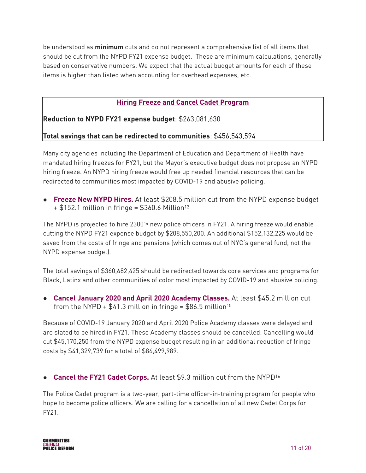be understood as **minimum** cuts and do not represent a comprehensive list of all items that should be cut from the NYPD FY21 expense budget. These are minimum calculations, generally based on conservative numbers. We expect that the actual budget amounts for each of these items is higher than listed when accounting for overhead expenses, etc.

#### <span id="page-13-0"></span>**Hiring Freeze and Cancel Cadet Program**

**Reduction to NYPD FY21 expense budget**: \$263,081,630

#### **Total savings that can be redirected to communities**: \$456,543,594

Many city agencies including the Department of Education and Department of Health have mandated hiring freezes for FY21, but the Mayor's executive budget does not propose an NYPD hiring freeze. An NYPD hiring freeze would free up needed financial resources that can be redirected to communities most impacted by COVID-19 and abusive policing.

**● Freeze New NYPD Hires.** At least \$208.5 million cut from the NYPD expense budget  $+$  \$152.1 million in fringe = \$360.6 Million<sup>[13](#page-21-12)</sup>

<span id="page-13-1"></span>The NYPD is projected to hire 2300<sup>[14](#page-21-13)</sup> new police officers in FY21. A hiring freeze would enable cutting the NYPD FY21 expense budget by \$208,550,200. An additional \$152,132,225 would be saved from the costs of fringe and pensions (which comes out of NYC's general fund, not the NYPD expense budget).

The total savings of \$360,682,425 should be redirected towards core services and programs for Black, Latinx and other communities of color most impacted by COVID-19 and abusive policing.

<span id="page-13-2"></span>**● Cancel January 2020 and April 2020 Academy Classes.** At least \$45.2 million cut from the NYPD +  $$41.3$  million in fringe =  $$86.5$  million<sup>15</sup>

Because of COVID-19 January 2020 and April 2020 Police Academy classes were delayed and are slated to be hired in FY21. These Academy classes should be cancelled. Cancelling would cut \$45,170,250 from the NYPD expense budget resulting in an additional reduction of fringe costs by \$41,329,739 for a total of \$86,499,989.

<span id="page-13-3"></span>**• Cancel the FY21 Cadet Corps.** At least \$9.3 million cut from the NYPD<sup>16</sup>

The Police Cadet program is a two-year, part-time officer-in-training program for people who hope to become police officers. We are calling for a cancellation of all new Cadet Corps for FY21.

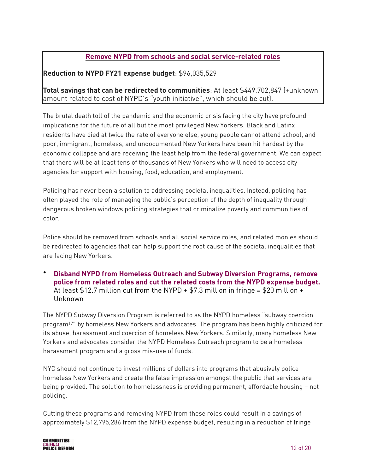#### **Remove NYPD from schools and social service-related roles**

#### **Reduction to NYPD FY21 expense budget**: \$96,035,529

**Total savings that can be redirected to communities**: At least \$449,702,847 (+unknown amount related to cost of NYPD's "youth initiative", which should be cut).

The brutal death toll of the pandemic and the economic crisis facing the city have profound implications for the future of all but the most privileged New Yorkers. Black and Latinx residents have died at twice the rate of everyone else, young people cannot attend school, and poor, immigrant, homeless, and undocumented New Yorkers have been hit hardest by the economic collapse and are receiving the least help from the federal government. We can expect that there will be at least tens of thousands of New Yorkers who will need to access city agencies for support with housing, food, education, and employment.

Policing has never been a solution to addressing societal inequalities. Instead, policing has often played the role of managing the public's perception of the depth of inequality through dangerous broken windows policing strategies that criminalize poverty and communities of color.

Police should be removed from schools and all social service roles, and related monies should be redirected to agencies that can help support the root cause of the societal inequalities that are facing New Yorkers.

• **Disband NYPD from Homeless Outreach and Subway Diversion Programs, remove police from related roles and cut the related costs from the NYPD expense budget.**  At least \$12.7 million cut from the NYPD  $+$  \$7.3 million in fringe = \$20 million  $+$ Unknown

<span id="page-14-0"></span>The NYPD Subway Diversion Program is referred to as the NYPD homeless "subway coercion program<sup>[17](#page-21-16)"</sup> by homeless New Yorkers and advocates. The program has been highly criticized for its abuse, harassment and coercion of homeless New Yorkers. Similarly, many homeless New Yorkers and advocates consider the NYPD Homeless Outreach program to be a homeless harassment program and a gross mis-use of funds.

NYC should not continue to invest millions of dollars into programs that abusively police homeless New Yorkers and create the false impression amongst the public that services are being provided. The solution to homelessness is providing permanent, affordable housing – not policing.

Cutting these programs and removing NYPD from these roles could result in a savings of approximately \$12,795,286 from the NYPD expense budget, resulting in a reduction of fringe

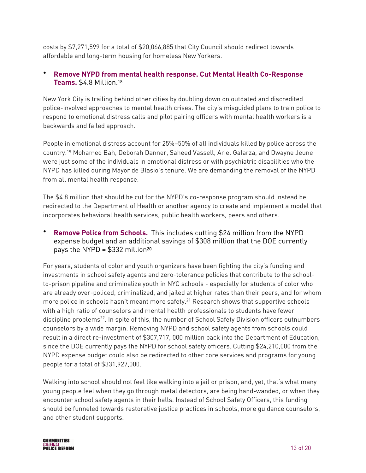costs by \$7,271,599 for a total of \$20,066,885 that City Council should redirect towards affordable and long-term housing for homeless New Yorkers.

#### <span id="page-15-0"></span>• **Remove NYPD from mental health response. Cut Mental Health Co-Response Teams.** \$4.8 Million[.18](#page-21-17)

New York City is trailing behind other cities by doubling down on outdated and discredited police-involved approaches to mental health crises. The city's misguided plans to train police to respond to emotional distress calls and pilot pairing officers with mental health workers is a backwards and failed approach.

<span id="page-15-1"></span>People in emotional distress account for 25%–50% of all individuals killed by police across the country.<sup>[19](#page-22-0)</sup> Mohamed Bah, Deborah Danner, Saheed Vassell, Ariel Galarza, and Dwayne Jeune were just some of the individuals in emotional distress or with psychiatric disabilities who the NYPD has killed during Mayor de Blasio's tenure. We are demanding the removal of the NYPD from all mental health response.

The \$4.8 million that should be cut for the NYPD's co-response program should instead be redirected to the Department of Health or another agency to create and implement a model that incorporates behavioral health services, public health workers, peers and others.

<span id="page-15-2"></span>• **Remove Police from Schools.** This includes cutting \$24 million from the NYPD expense budget and an additional savings of \$308 million that the DOE currently pays the NYPD = \$332 million**[20](#page-22-1)**

<span id="page-15-4"></span><span id="page-15-3"></span>For years, students of color and youth organizers have been fighting the city's funding and investments in school safety agents and zero-tolerance policies that contribute to the schoolto-prison pipeline and criminalize youth in NYC schools - especially for students of color who are already over-policed, criminalized, and jailed at higher rates than their peers, and for whom more police in schools hasn't meant more safety.<sup>[21](#page-22-2)</sup> Research shows that supportive schools with a high ratio of counselors and mental health professionals to students have fewer discipline problems<sup>[22](#page-22-3)</sup>. In spite of this, the number of School Safety Division officers outnumbers counselors by a wide margin. Removing NYPD and school safety agents from schools could result in a direct re-investment of \$307,717, 000 million back into the Department of Education, since the DOE currently pays the NYPD for school safety officers. Cutting \$24,210,000 from the NYPD expense budget could also be redirected to other core services and programs for young people for a total of \$331,927,000.

Walking into school should not feel like walking into a jail or prison, and, yet, that's what many young people feel when they go through metal detectors, are being hand-wanded, or when they encounter school safety agents in their halls. Instead of School Safety Officers, this funding should be funneled towards restorative justice practices in schools, more guidance counselors, and other student supports.

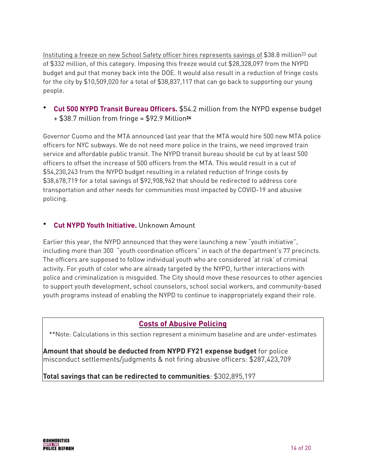<span id="page-16-0"></span>Instituting a freeze on new School Safety officer hires represents savings of \$38.8 million<sup>[23](#page-22-4)</sup> out of \$332 million, of this category. Imposing this freeze would cut \$28,328,097 from the NYPD budget and put that money back into the DOE. It would also result in a reduction of fringe costs for the city by \$10,509,020 for a total of \$38,837,117 that can go back to supporting our young people.

<span id="page-16-1"></span>• **Cut 500 NYPD Transit Bureau Officers.** \$54.2 million from the NYPD expense budget + \$38.7 million from fringe = \$92.9 Million**<sup>24</sup>**

Governor Cuomo and the MTA announced last year that the MTA would hire 500 new MTA police officers for NYC subways. We do not need more police in the trains, we need improved train service and affordable public transit. The NYPD transit bureau should be cut by at least 500 officers to offset the increase of 500 officers from the MTA. This would result in a cut of \$54,230,243 from the NYPD budget resulting in a related reduction of fringe costs by \$38,678,719 for a total savings of \$92,908,962 that should be redirected to address core transportation and other needs for communities most impacted by COVID-19 and abusive policing.

#### • **Cut NYPD Youth Initiative.** Unknown Amount

Earlier this year, the NYPD announced that they were launching a new "youth initiative", including more than 300 "youth coordination officers" in each of the department's 77 precincts. The officers are supposed to follow individual youth who are considered 'at risk' of criminal activity. For youth of color who are already targeted by the NYPD, further interactions with police and criminalization is misguided. The City should move these resources to other agencies to support youth development, school counselors, school social workers, and community-based youth programs instead of enabling the NYPD to continue to inappropriately expand their role.

#### **Costs of Abusive Policing**

\*\*Note: Calculations in this section represent a minimum baseline and are under-estimates

**Amount that should be deducted from NYPD FY21 expense budget** for police misconduct settlements/judgments & not firing abusive officers: \$287,423,709

**Total savings that can be redirected to communities**: \$302,895,197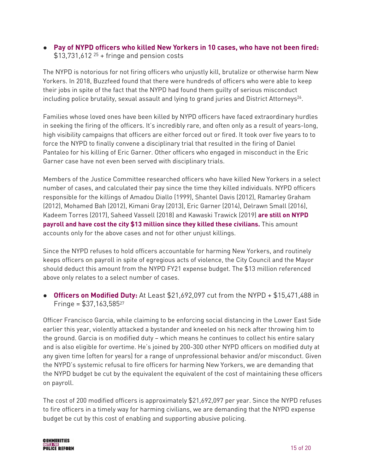<span id="page-17-0"></span>**● Pay of NYPD officers who killed New Yorkers in 10 cases, who have not been fired:**  $$13,731,612$  <sup>25</sup> + fringe and pension costs

The NYPD is notorious for not firing officers who unjustly kill, brutalize or otherwise harm New Yorkers. In 2018, Buzzfeed found that there were hundreds of officers who were able to keep their jobs in spite of the fact that the NYPD had found them guilty of serious misconduct including police brutality, sexual assault and lying to grand juries and District Attorneys<sup>26</sup>[.](#page-22-7)

<span id="page-17-1"></span>Families whose loved ones have been killed by NYPD officers have faced extraordinary hurdles in seeking the firing of the officers. It's incredibly rare, and often only as a result of years-long, high visibility campaigns that officers are either forced out or fired. It took over five years to to force the NYPD to finally convene a disciplinary trial that resulted in the firing of Daniel Pantaleo for his killing of Eric Garner. Other officers who engaged in misconduct in the Eric Garner case have not even been served with disciplinary trials.

Members of the Justice Committee researched officers who have killed New Yorkers in a select number of cases, and calculated their pay since the time they killed individuals. NYPD officers responsible for the killings of Amadou Diallo (1999), Shantel Davis (2012), Ramarley Graham (2012), Mohamed Bah (2012), Kimani Gray (2013), Eric Garner (2014), Delrawn Small (2016), Kadeem Torres (2017), Saheed Vassell (2018) and Kawaski Trawick (2019) **are still on NYPD payroll and have cost the city \$13 million since they killed these civilians.** This amount accounts only for the above cases and not for other unjust killings.

Since the NYPD refuses to hold officers accountable for harming New Yorkers, and routinely keeps officers on payroll in spite of egregious acts of violence, the City Council and the Mayor should deduct this amount from the NYPD FY21 expense budget. The \$13 million referenced above only relates to a select number of cases.

<span id="page-17-2"></span>**● Officers on Modified Duty:** At Least \$21,692,097 cut from the NYPD + \$15,471,488 in Fringe = \$37,163,58[527](#page-22-8)

Officer Francisco Garcia, while claiming to be enforcing social distancing in the Lower East Side earlier this year, violently attacked a bystander and kneeled on his neck after throwing him to the ground. Garcia is on modified duty – which means he continues to collect his entire salary and is also eligible for overtime. He's joined by 200-300 other NYPD officers on modified duty at any given time (often for years) for a range of unprofessional behavior and/or misconduct. Given the NYPD's systemic refusal to fire officers for harming New Yorkers, we are demanding that the NYPD budget be cut by the equivalent the equivalent of the cost of maintaining these officers on payroll.

The cost of 200 modified officers is approximately \$21,692,097 per year. Since the NYPD refuses to fire officers in a timely way for harming civilians, we are demanding that the NYPD expense budget be cut by this cost of enabling and supporting abusive policing.

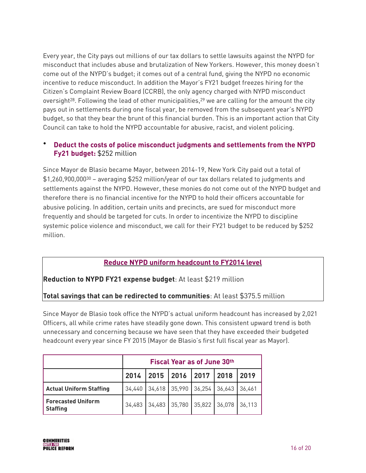Every year, the City pays out millions of our tax dollars to settle lawsuits against the NYPD for misconduct that includes abuse and brutalization of New Yorkers. However, this money doesn't come out of the NYPD's budget; it comes out of a central fund, giving the NYPD no economic incentive to reduce misconduct. In addition the Mayor's FY21 budget freezes hiring for the Citizen's Complaint Review Board (CCRB), the only agency charged with NYPD misconduct oversight<sup>28</sup>[.](#page-22-9) Following the lead of other municipalities,<sup>29</sup> we are calling for the amount the city pays out in settlements during one fiscal year, be removed from the subsequent year's NYPD budget, so that they bear the brunt of this financial burden. This is an important action that City Council can take to hold the NYPD accountable for abusive, racist, and violent policing.

#### <span id="page-18-1"></span><span id="page-18-0"></span>• **Deduct the costs of police misconduct judgments and settlements from the NYPD Fy21 budget:** \$252 million

<span id="page-18-2"></span>Since Mayor de Blasio became Mayor, between 2014-19, New York City paid out a total of  $$1,260,900,000^{30}$  $$1,260,900,000^{30}$  $$1,260,900,000^{30}$  – averaging \$252 million/year of our tax dollars related to judgments and settlements against the NYPD. However, these monies do not come out of the NYPD budget and therefore there is no financial incentive for the NYPD to hold their officers accountable for abusive policing. In addition, certain units and precincts, are sued for misconduct more frequently and should be targeted for cuts. In order to incentivize the NYPD to discipline systemic police violence and misconduct, we call for their FY21 budget to be reduced by \$252 million.

#### **Reduce NYPD uniform headcount to FY2014 level**

#### **Reduction to NYPD FY21 expense budget**: At least \$219 million

#### **Total savings that can be redirected to communities**: At least \$375.5 million

Since Mayor de Blasio took office the NYPD's actual uniform headcount has increased by 2,021 Officers, all while crime rates have steadily gone down. This consistent upward trend is both unnecessary and concerning because we have seen that they have exceeded their budgeted headcount every year since FY 2015 (Mayor de Blasio's first full fiscal year as Mayor).

|                                              | <b>Fiscal Year as of June 30th</b> |                          |                             |                      |  |        |
|----------------------------------------------|------------------------------------|--------------------------|-----------------------------|----------------------|--|--------|
|                                              |                                    | 2014 2015 2016 2017 2018 |                             |                      |  | 2019   |
| <b>Actual Uniform Staffing</b>               | 34,440                             |                          | 34,618 35,990 36,254 36,643 |                      |  | 36.461 |
| <b>Forecasted Uniform</b><br><b>Staffing</b> | 34,483                             | 34,483                   |                             | 35,780 35,822 36,078 |  | 36,113 |

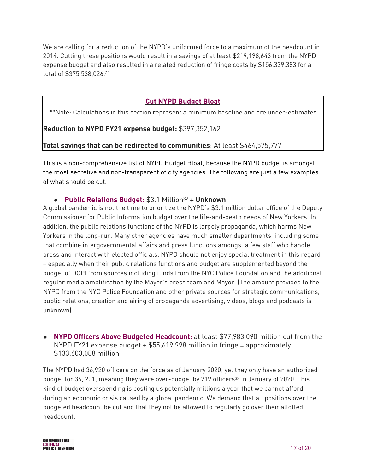We are calling for a reduction of the NYPD's uniformed force to a maximum of the headcount in 2014. Cutting these positions would result in a savings of at least \$219,198,643 from the NYPD expense budget and also resulted in a related reduction of fringe costs by \$156,339,383 for a total of \$375,538,026.[31](#page-22-12)

#### <span id="page-19-1"></span><span id="page-19-0"></span>**Cut NYPD Budget Bloat**

\*\*Note: Calculations in this section represent a minimum baseline and are under-estimates

#### **Reduction to NYPD FY21 expense budget:** \$397,352,162

#### **Total savings that can be redirected to communities**: At least \$464,575,777

This is a non-comprehensive list of NYPD Budget Bloat, because the NYPD budget is amongst the most secretive and non-transparent of city agencies. The following are just a few examples of what should be cut.

#### **• Public Relations Budget: \$3.1 Million<sup>[32](#page-22-13)</sup> + Unknown**

A global pandemic is not the time to prioritize the NYPD's \$3.1 million dollar office of the Deputy Commissioner for Public Information budget over the life-and-death needs of New Yorkers. In addition, the public relations functions of the NYPD is largely propaganda, which harms New Yorkers in the long-run. Many other agencies have much smaller departments, including some that combine intergovernmental affairs and press functions amongst a few staff who handle press and interact with elected officials. NYPD should not enjoy special treatment in this regard – especially when their public relations functions and budget are supplemented beyond the budget of DCPI from sources including funds from the NYC Police Foundation and the additional regular media amplification by the Mayor's press team and Mayor. (The amount provided to the NYPD from the NYC Police Foundation and other private sources for strategic communications, public relations, creation and airing of propaganda advertising, videos, blogs and podcasts is unknown)

**● NYPD Officers Above Budgeted Headcount:** at least \$77,983,090 million cut from the NYPD FY21 expense budget + \$55,619,998 million in fringe = approximately \$133,603,088 million

<span id="page-19-2"></span>The NYPD had 36,920 officers on the force as of January 2020; yet they only have an authorized budget for 36, 201, meaning they were over-budget by 719 officers<sup>[33](#page-22-14)</sup> in January of 2020. This kind of budget overspending is costing us potentially millions a year that we cannot afford during an economic crisis caused by a global pandemic. We demand that all positions over the budgeted headcount be cut and that they not be allowed to regularly go over their allotted headcount.

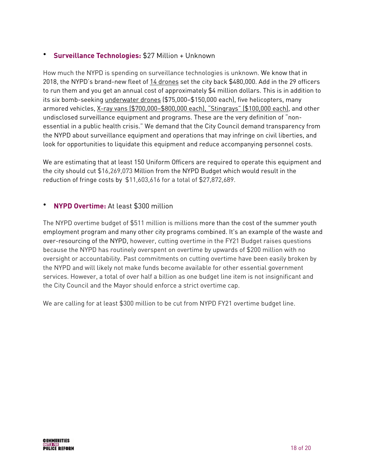#### • **Surveillance Technologies:** \$27 Million + Unknown

How much the NYPD is spending on surveillance technologies is unknown. We know that in 2018, the NYPD's brand-new fleet of [14 drones](https://www.nytimes.com/2018/12/04/nyregion/nypd-drones.html) set the city back \$480,000. Add in the 29 officers to run them and you get an annual cost of approximately \$4 million dollars. This is in addition to its six bomb-seeking [underwater drones](https://gothamist.com/news/good-to-know-the-nypd-has-six-submarine-drones) (\$75,000–\$150,000 each), five helicopters, many armored vehicles, [X-ray vans \(\\$700,000–\\$800,000 each\), "Stingrays" \(\\$100,000 each\),](https://www.nyclu.org/en/publications/testimony-regarding-police-accountability) and other undisclosed surveillance equipment and programs. These are the very definition of "nonessential in a public health crisis." We demand that the City Council demand transparency from the NYPD about surveillance equipment and operations that may infringe on civil liberties, and look for opportunities to liquidate this equipment and reduce accompanying personnel costs.

We are estimating that at least 150 Uniform Officers are required to operate this equipment and the city should cut \$16,269,073 Million from the NYPD Budget which would result in the reduction of fringe costs by \$11,603,616 for a total of \$27,872,689.

#### • **NYPD Overtime:** At least \$300 million

The NYPD overtime budget of \$511 million is millions more than the cost of the summer youth employment program and many other city programs combined. It's an example of the waste and over-resourcing of the NYPD, however, cutting overtime in the FY21 Budget raises questions because the NYPD has routinely overspent on overtime by upwards of \$200 million with no oversight or accountability. Past commitments on cutting overtime have been easily broken by the NYPD and will likely not make funds become available for other essential government services. However, a total of over half a billion as one budget line item is not insignificant and the City Council and the Mayor should enforce a strict overtime cap.

We are calling for at least \$300 million to be cut from NYPD FY21 overtime budget line.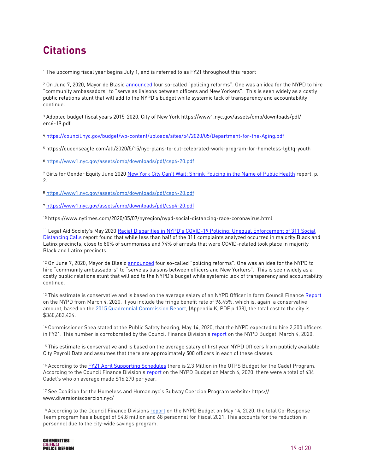## **Citations**

<span id="page-21-0"></span><sup>[1](#page-3-0)</sup> The upcoming fiscal year begins July 1, and is referred to as FY21 throughout this report

<span id="page-21-1"></span><sup>[2](#page-4-0)</sup> On June 7, 2020, Mayor de Blasio announced four so-called "policing reforms". One was an idea for the NYPD to hire "community ambassadors" to "serve as liaisons between officers and New Yorkers". This is seen widely as a costly public relations stunt that will add to the NYPD's budget while systemic lack of transparency and accountability continue.

<span id="page-21-2"></span><sup>[3](#page-5-0)</sup> Adopted budget fiscal years 2015-2020, City of New York https://www1.nyc.gov/assets/omb/downloads/pdf/ erc6-19.pdf

<span id="page-21-3"></span><https://council.nyc.gov/budget/wp-content/uploads/sites/54/2020/05/Department-for-the-Aging.pdf> **[4](#page-8-0)**

<span id="page-21-4"></span>[5](#page-8-1) https://queenseagle.com/all/2020/5/15/nyc-plans-to-cut-celebrated-work-program-for-homeless-lgbtq-youth

<span id="page-21-5"></span><https://www1.nyc.gov/assets/omb/downloads/pdf/csp4-20.pdf> **[6](#page-8-2)**

<span id="page-21-6"></span><sup>7</sup> Girls for Gender Equity June 2020 [New York City Can't Wait: Shrink Policing in the Name of Public Health](https://www.ggenyc.org/wp-content/uploads/2020/06/Shrinking-Policing-in-the-Name-of-Public-Health_-GGE-Budget-Report-.pdf) report, p. 2.

<span id="page-21-7"></span><https://www1.nyc.gov/assets/omb/downloads/pdf/csp4-20.pdf> **[8](#page-9-0)**

<span id="page-21-8"></span><https://www1.nyc.gov/assets/omb/downloads/pdf/csp4-20.pdf> **[9](#page-9-1)**

<span id="page-21-9"></span>[10](#page-9-2) https://www.nytimes.com/2020/05/07/nyregion/nypd-social-distancing-race-coronavirus.html

<span id="page-21-10"></span><sup>[11](#page-9-3)</sup> Legal Aid Society's May 2020 Racial Disparities in NYPD's COVID-19 Policing: Unequal Enforcement of 311 Social [Distancing Calls](https://legalaidnyc.org/wp-content/uploads/2020/05/LAS_Racial-Disparities-in-NYPDs-COVID-19-Policing_5.20.20_5PM_FINAL.pdf) report found that while less than half of the 311 complaints analyzed occurred in majority Black and Latinx precincts, close to 80% of summonses and 74% of arrests that were COVID-related took place in majority Black and Latinx precincts.

<span id="page-21-11"></span><sup>[12](#page-12-0)</sup> On June 7, 2020, Mayor de Blasio announced four so-called "policing reforms". One was an idea for the NYPD to hire "community ambassadors" to "serve as liaisons between officers and New Yorkers". This is seen widely as a costly public relations stunt that will add to the NYPD's budget while systemic lack of transparency and accountability continue.

<span id="page-21-12"></span><sup>13</sup> This estimate is conservative and is based on the average salary of an NYPD Officer in form Council Finance [Report](https://council.nyc.gov/budget/wp-content/uploads/sites/54/2020/03/056-NYPD.pdf) on the NYPD from March 4, 2020. If you include the fringe benefit rate of 96.45%, which is, again, a conservative amount, based on the [2015 Quadrennial Commission Report](https://www1.nyc.gov/assets/quadrennial/downloads/pdf/2015-Quadrennial-Commission-Report.pdf), (Appendix K, PDF p.138), the total cost to the city is \$360,682,424.

<span id="page-21-13"></span><sup>[14](#page-13-1)</sup> Commissioner Shea stated at the Public Safety hearing, May 14, 2020, that the NYPD expected to hire 2,300 officers in FY21. This number is corroborated by the Council Finance Division'[s report](https://council.nyc.gov/budget/wp-content/uploads/sites/54/2020/03/056-NYPD.pdf) on the NYPD Budget, March 4, 2020.

<span id="page-21-14"></span><sup>[15](#page-13-2)</sup> This estimate is conservative and is based on the average salary of first year NYPD Officers from publicly available City Payroll Data and assumes that there are approximately 500 officers in each of these classes.

<span id="page-21-15"></span><sup>16</sup> According to the [FY21 April Supporting Schedules](https://www1.nyc.gov/assets/omb/downloads/pdf/ss4-20.pdf) there is 2.3 Million in the OTPS Budget for the Cadet Program. According to the Council Finance Division'[s report](https://council.nyc.gov/budget/wp-content/uploads/sites/54/2020/03/056-NYPD.pdf) on the NYPD Budget on March 4, 2020, there were a total of 434 Cadet's who on average made \$16,270 per year.

<span id="page-21-16"></span><sup>[17](#page-14-0)</sup> See Coalition for the Homeless and Human.nyc's Subway Coercion Program website: https:// www.diversioniscoercion.nyc/

<span id="page-21-17"></span><sup>18</sup> According to the Council Finance Divisions [report](https://council.nyc.gov/budget/wp-content/uploads/sites/54/2020/05/FY21-NYPD-Executive-Report-1.pdf) on the NYPD Budget on May 14, 2020, the total Co-Response Team program has a budget of \$4.8 million and 68 personnel for Fiscal 2021. This accounts for the reduction in personnel due to the city-wide savings program.